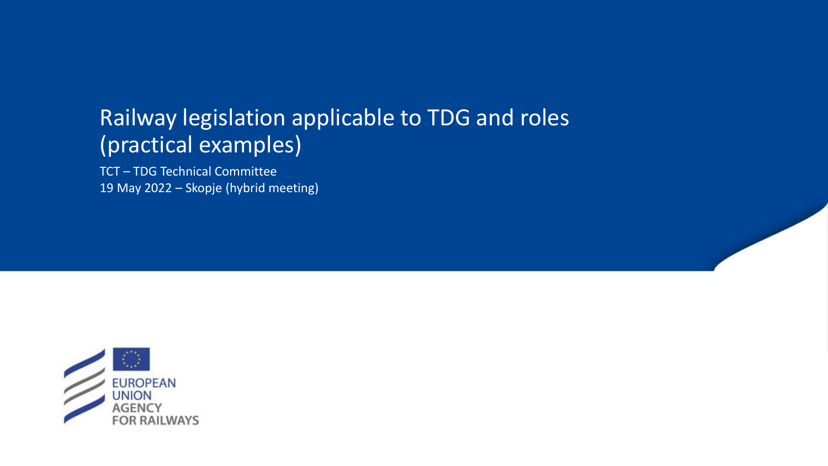# Railway legislation applicable to TDG and roles (practical examples)

TCT – TDG Technical Committee 19 May 2022 – Skopje (hybrid meeting)

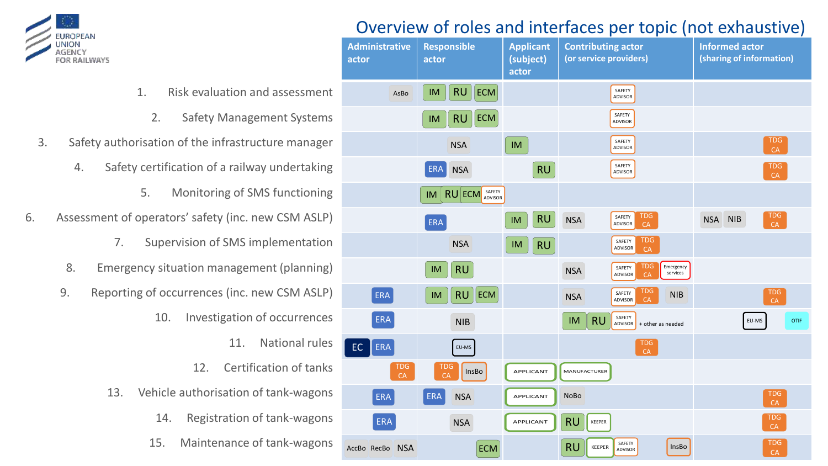

## Overview of roles and interfaces per topic (not exhaustive)

|                                        | <b>Administrative</b><br>actor | <b>Responsible</b><br>actor        | <b>Applicant</b><br>(subject)<br>actor | <b>Contributing actor</b><br>(or service providers)                             | <b>Informed actor</b><br>(sharing of information) |
|----------------------------------------|--------------------------------|------------------------------------|----------------------------------------|---------------------------------------------------------------------------------|---------------------------------------------------|
| Risk evaluation and assessment         | AsBo                           | <b>RU</b><br>ECM<br>IM             |                                        | SAFETY<br>ADVISOR                                                               |                                                   |
| 2.<br><b>Safety Management Systems</b> |                                | <b>RU</b><br>$\parallel$ ECM<br>IM |                                        | SAFETY<br><b>ADVISOR</b>                                                        |                                                   |
| ation of the infrastructure manager    |                                | <b>NSA</b>                         | IM                                     | SAFETY<br>ADVISOR                                                               | <b>TDG</b><br>CA                                  |
| ertification of a railway undertaking  |                                | <b>NSA</b><br>ERA                  | $\vert$ RU                             | SAFETY<br>ADVISOR                                                               | <b>TDG</b><br>CA                                  |
| Monitoring of SMS functioning          |                                | <b>RU</b> ECM SAFETY<br>IM         |                                        |                                                                                 |                                                   |
| erators' safety (inc. new CSM ASLP)    |                                | ERA                                | <b>RU</b><br>IM                        | TDG.<br>SAFETY<br><b>NSA</b><br>ADVISOR<br><b>CA</b>                            | <b>TDG</b><br>NSA NIB<br>CA                       |
| iupervision of SMS implementation      |                                | <b>NSA</b>                         | <b>RU</b><br>IM                        | TDG<br>SAFETY<br>ADVISOR<br>CA                                                  |                                                   |
| y situation management (planning)      |                                | <b>RU</b><br>IM                    |                                        | TDG<br>Emergency<br>SAFETY<br><b>NSA</b><br>services<br><b>ADVISOR</b><br>CA    |                                                   |
| of occurrences (inc. new CSM ASLP)     | ERA                            | $RU$   ECM<br>IM                   |                                        | <b>TDG</b><br>SAFETY<br><b>NIB</b><br><b>NSA</b><br><b>CA</b><br><b>ADVISOR</b> | TDG<br>CA                                         |
| Investigation of occurrences<br>10.    | ERA                            | <b>NIB</b>                         |                                        | SAFETY<br><b>RU</b><br><b>IM</b><br>ADVISOR<br>+ other as needed                | EU-MS<br><b>OTIF</b>                              |
| National rules<br>11.                  | EC.<br>ERA                     | EU-MS                              |                                        | TDG<br>CA                                                                       |                                                   |
| <b>Certification of tanks</b><br>12.   | TDG<br>CA                      | FDG<br><b>InsBo</b><br>CA          | APPLICANT                              | MANUFACTURER                                                                    |                                                   |
| hicle authorisation of tank-wagons     | ERA                            | ERA<br><b>NSA</b>                  | APPLICANT                              | NoBo                                                                            | <b>TDG</b><br>CA                                  |
| Registration of tank-wagons<br>14.     | ERA                            | <b>NSA</b>                         | APPLICANT                              | <b>RU</b><br>KEEPER                                                             | <b>TDG</b><br>CA                                  |
| Maintenance of tank-wagons<br>15.      | AccBo RecBo NSA                | <b>ECM</b>                         |                                        | SAFETY<br><b>RU</b><br>InsBo<br>KEEPER<br><b>ADVISOR</b>                        | TDG<br>CA                                         |

- 1. Risk evaluation and
	- 2. Safety Managem
- 3. Safety authorisation of the infrastructure
	- 4. Safety certification of a railway
		- 5. Monitoring of SMS
- 6. Assessment of operators' safety (inc. nev
	- 7. Supervision of SMS imp
	- 8. Emergency situation managemer
	- 9. Reporting of occurrences (inc. nev
		- 10. Investigation of
			- 11. Na
			- 12. Certifica
		- 13. Vehicle authorisation of
			- 14. Registration of t
			-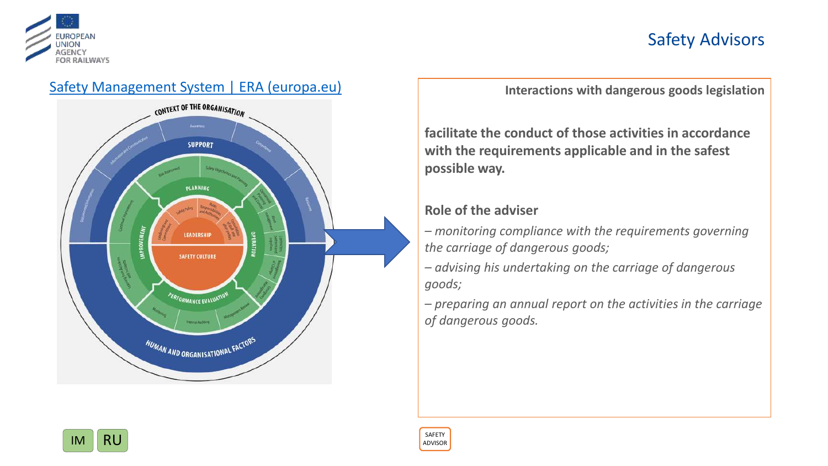

## Safety Advisors





**Interactions with dangerous goods legislation**

**facilitate the conduct of those activities in accordance with the requirements applicable and in the safest possible way.**

## **Role of the adviser**

*– monitoring compliance with the requirements governing the carriage of dangerous goods;*

*– advising his undertaking on the carriage of dangerous goods;*

*– preparing an annual report on the activities in the carriage of dangerous goods.* 

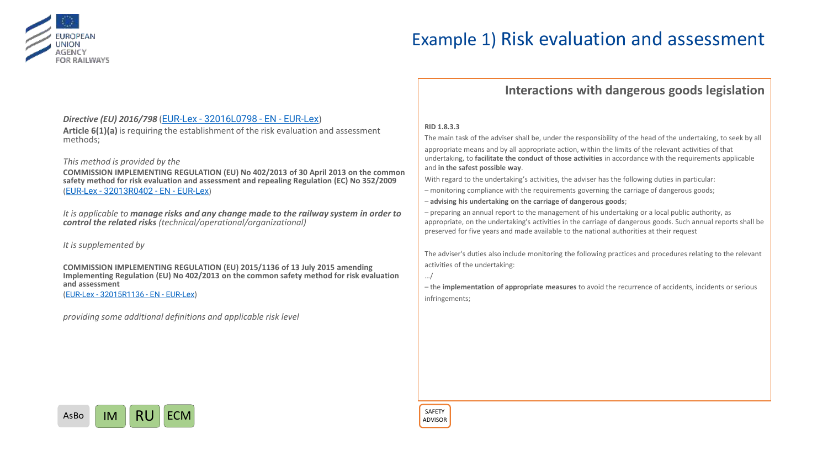

## Example 1) Risk evaluation and assessment

### **Interactions with dangerous goods legislation**

### *Directive (EU) 2016/798* (EUR-Lex - [32016L0798 -](https://www.bing.com/ck/a?!&&p=3770285bfb87122d743233a695b1ad5e0498da02eb7e7ffac38b8791e3ab1a5aJmltdHM9MTY1MjQyOTUyNSZpZ3VpZD1hMzkwODgzYi1mZDViLTQ5NzUtYjY0ZC02ZGE4YzM2ZTE3YWImaW5zaWQ9NTE3MQ&ptn=3&fclid=60073489-d294-11ec-b961-fb255f931f80&u=a1aHR0cHM6Ly9ldXItbGV4LmV1cm9wYS5ldS9sZWdhbC1jb250ZW50L0VOL1RYVC8_dXJpPUNFTEVYJTNBMzIwMTZMMDc5OA&ntb=1) EN - EUR-Lex)

**Article 6(1)(a)** is requiring the establishment of the risk evaluation and assessment methods;

#### *This method is provided by the*

**COMMISSION IMPLEMENTING REGULATION (EU) No 402/2013 of 30 April 2013 on the common safety method for risk evaluation and assessment and repealing Regulation (EC) No 352/2009** (EUR-Lex - [32013R0402 -](https://www.bing.com/ck/a?!&&p=407708696fd9b2ae2982e56dae334795114e404737725d64728d12c35dce7436JmltdHM9MTY1MjQyOTYxMCZpZ3VpZD0wM2YyYzE5ZC1jNjZjLTQ4MmQtYjE2Zi0wMzNkOWIxYzcxNGYmaW5zaWQ9NTE3OQ&ptn=3&fclid=928f3f30-d294-11ec-80c0-e4b9f59a7c21&u=a1aHR0cHM6Ly9ldXItbGV4LmV1cm9wYS5ldS9sZWdhbC1jb250ZW50L0VOL1RYVC8_dXJpPUNFTEVYJTNBMzIwMTNSMDQwMg&ntb=1) EN - EUR-Lex)

*It is applicable to manage risks and any change made to the railway system in order to control the related risks (technical/operational/organizational)*

*It is supplemented by* 

**COMMISSION IMPLEMENTING REGULATION (EU) 2015/1136 of 13 July 2015 amending Implementing Regulation (EU) No 402/2013 on the common safety method for risk evaluation and assessment**

(EUR-Lex - [32015R1136 -](https://www.bing.com/ck/a?!&&p=798fa7572703e113809cbae1fcfdb691d353fba8cc7b7f6a8cdcb56d6fd1e887JmltdHM9MTY1MjQyOTY3OCZpZ3VpZD0zNWNmNTE3MS04MTBlLTQ1MDgtYjA4OS1iZWI5MzE4ZmM5NTkmaW5zaWQ9NTE3OA&ptn=3&fclid=bb4d000e-d294-11ec-aeb5-9d087bd63bb0&u=a1aHR0cHM6Ly9ldXItbGV4LmV1cm9wYS5ldS9sZWdhbC1jb250ZW50L0ZSL1RYVC8_dXJpPUNFTEVYOjMyMDE1UjExMzY&ntb=1) EN - EUR-Lex)

*providing some additional definitions and applicable risk level*

#### **RID 1.8.3.3**

The main task of the adviser shall be, under the responsibility of the head of the undertaking, to seek by all appropriate means and by all appropriate action, within the limits of the relevant activities of that undertaking, to **facilitate the conduct of those activities** in accordance with the requirements applicable and **in the safest possible way**.

With regard to the undertaking's activities, the adviser has the following duties in particular:

- monitoring compliance with the requirements governing the carriage of dangerous goods;
- **advising his undertaking on the carriage of dangerous goods**;

– preparing an annual report to the management of his undertaking or a local public authority, as appropriate, on the undertaking's activities in the carriage of dangerous goods. Such annual reports shall be preserved for five years and made available to the national authorities at their request

The adviser's duties also include monitoring the following practices and procedures relating to the relevant activities of the undertaking:

…/

– the **implementation of appropriate measures** to avoid the recurrence of accidents, incidents or serious infringements;



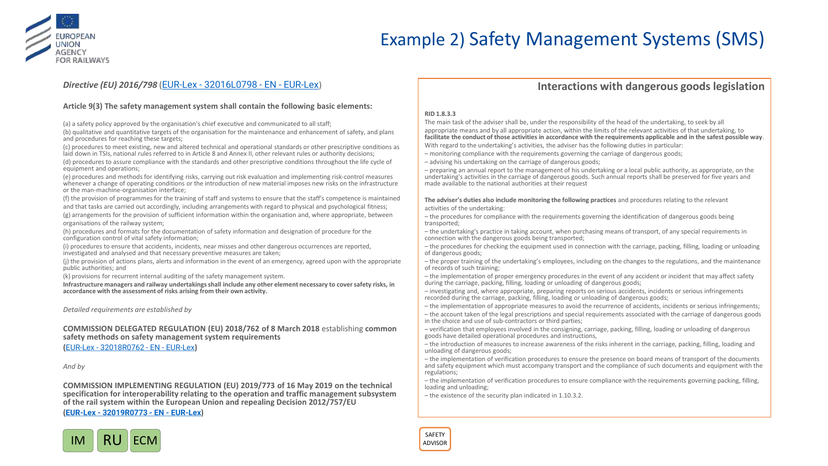

## Example 2) Safety Management Systems (SMS)

### *Directive (EU) 2016/798* (EUR-Lex - [32016L0798 -](https://www.bing.com/ck/a?!&&p=3770285bfb87122d743233a695b1ad5e0498da02eb7e7ffac38b8791e3ab1a5aJmltdHM9MTY1MjQyOTUyNSZpZ3VpZD1hMzkwODgzYi1mZDViLTQ5NzUtYjY0ZC02ZGE4YzM2ZTE3YWImaW5zaWQ9NTE3MQ&ptn=3&fclid=60073489-d294-11ec-b961-fb255f931f80&u=a1aHR0cHM6Ly9ldXItbGV4LmV1cm9wYS5ldS9sZWdhbC1jb250ZW50L0VOL1RYVC8_dXJpPUNFTEVYJTNBMzIwMTZMMDc5OA&ntb=1) EN - EUR-Lex)

#### **Article 9(3) The safety management system shall contain the following basic elements:**

(a) a safety policy approved by the organisation's chief executive and communicated to all staff;

(b) qualitative and quantitative targets of the organisation for the maintenance and enhancement of safety, and plans and procedures for reaching these targets;

(c) procedures to meet existing, new and altered technical and operational standards or other prescriptive conditions as laid down in TSIs, national rules referred to in Article 8 and Annex II, other relevant rules or authority decisions;

(d) procedures to assure compliance with the standards and other prescriptive conditions throughout the life cycle of equipment and operations;

(e) procedures and methods for identifying risks, carrying out risk evaluation and implementing risk-control measures whenever a change of operating conditions or the introduction of new material imposes new risks on the infrastructure or the man-machine-organisation interface;

(f) the provision of programmes for the training of staff and systems to ensure that the staff's competence is maintained and that tasks are carried out accordingly, including arrangements with regard to physical and psychological fitness;

(g) arrangements for the provision of sufficient information within the organisation and, where appropriate, between organisations of the railway system;

(h) procedures and formats for the documentation of safety information and designation of procedure for the configuration control of vital safety information;

(i) procedures to ensure that accidents, incidents, near misses and other dangerous occurrences are reported, investigated and analysed and that necessary preventive measures are taken;

(j) the provision of actions plans, alerts and information in the event of an emergency, agreed upon with the appropriate public authorities; and

(k) provisions for recurrent internal auditing of the safety management system.

**Infrastructure managers and railway undertakings shall include any other element necessary to cover safety risks, in accordance with the assessment of risks arising from their own activity.**

*Detailed requirements are established by* 

**COMMISSION DELEGATED REGULATION (EU) 2018/762 of 8 March 2018** establishing **common safety methods on safety management system requirements**

**(**EUR-Lex - [32018R0762 -](https://www.bing.com/ck/a?!&&p=17d2b7701029ee0e7c775d4ab66ae36d2886c3f18b1e9e7583ce82fa1ff6c061JmltdHM9MTY1MjQzMTEzNiZpZ3VpZD1lOWQ1NGE5Ni00NjM5LTQwNjMtOWVmMC1iODIxMmU5MTQ2Y2EmaW5zaWQ9NTE3MQ&ptn=3&fclid=2038f2f6-d298-11ec-854e-6a736011d09c&u=a1aHR0cHM6Ly9ldXItbGV4LmV1cm9wYS5ldS9sZWdhbC1jb250ZW50L0VOL1RYVC8_dXJpPUNFTEVYOjMyMDE4UjA3NjI&ntb=1) EN - EUR-Lex**)**

*And by* 

**COMMISSION IMPLEMENTING REGULATION (EU) 2019/773 of 16 May 2019 on the technical specification for interoperability relating to the operation and traffic management subsystem of the rail system within the European Union and repealing Decision 2012/757/EU**

**(EUR-Lex - [32019R0773 -](https://www.bing.com/ck/a?!&&p=e6635212a91047c60d26ae0d480ace257c9467909e178235e0a7b19876a74724JmltdHM9MTY1MjQyOTgwMCZpZ3VpZD1iNGRhY2NjMS02YTk5LTQxYTEtOGY0OC1hNmIxZGNkOTVkY2QmaW5zaWQ9NTM2Mw&ptn=3&fclid=03e46039-d295-11ec-b231-a659b1f5f2ec&u=a1aHR0cHM6Ly9ldXItbGV4LmV1cm9wYS5ldS9lbGkvcmVnX2ltcGwvMjAxOS83NzMvb2ojOn46dGV4dD1DT01NSVNTSU9OJTIwSU1QTEVNRU5USU5HJTIwUkVHVUxBVElPTiUyMCUyOEVVJTI5JTIwMjAxOSUyRjc3MyUyMG9mJTIwMTYlMjBNYXksd2l0aGluJTIwdGhlJTIwRXVyb3BlYW4lMjBVbmlvbiUyMGFuZCUyMHJlcGVhbGluZyUyMERlY2lzaW9uJTIwMjAxMiUyRjc1NyUyRkVV&ntb=1) EN - EUR-Lex)**



### **Interactions with dangerous goods legislation**

#### **RID 1.8.3.3**

The main task of the adviser shall be, under the responsibility of the head of the undertaking, to seek by all appropriate means and by all appropriate action, within the limits of the relevant activities of that undertaking, to **facilitate the conduct of those activities in accordance with the requirements applicable and in the safest possible way**. With regard to the undertaking's activities, the adviser has the following duties in particular:

- monitoring compliance with the requirements governing the carriage of dangerous goods;
- advising his undertaking on the carriage of dangerous goods;

– preparing an annual report to the management of his undertaking or a local public authority, as appropriate, on the undertaking's activities in the carriage of dangerous goods. Such annual reports shall be preserved for five years and made available to the national authorities at their request

**The adviser's duties also include monitoring the following practices** and procedures relating to the relevant activities of the undertaking:

- the procedures for compliance with the requirements governing the identification of dangerous goods being transported;
- the undertaking's practice in taking account, when purchasing means of transport, of any special requirements in connection with the dangerous goods being transported;
- the procedures for checking the equipment used in connection with the carriage, packing, filling, loading or unloading of dangerous goods;
- the proper training of the undertaking's employees, including on the changes to the regulations, and the maintenance of records of such training;
- the implementation of proper emergency procedures in the event of any accident or incident that may affect safety during the carriage, packing, filling, loading or unloading of dangerous goods;
- investigating and, where appropriate, preparing reports on serious accidents, incidents or serious infringements recorded during the carriage, packing, filling, loading or unloading of dangerous goods;
- the implementation of appropriate measures to avoid the recurrence of accidents, incidents or serious infringements;
- the account taken of the legal prescriptions and special requirements associated with the carriage of dangerous goods in the choice and use of sub-contractors or third parties;
- verification that employees involved in the consigning, carriage, packing, filling, loading or unloading of dangerous goods have detailed operational procedures and instructions,
- the introduction of measures to increase awareness of the risks inherent in the carriage, packing, filling, loading and unloading of dangerous goods;
- the implementation of verification procedures to ensure the presence on board means of transport of the documents and safety equipment which must accompany transport and the compliance of such documents and equipment with the regulations;
- the implementation of verification procedures to ensure compliance with the requirements governing packing, filling, loading and unloading;
- the existence of the security plan indicated in 1.10.3.2.